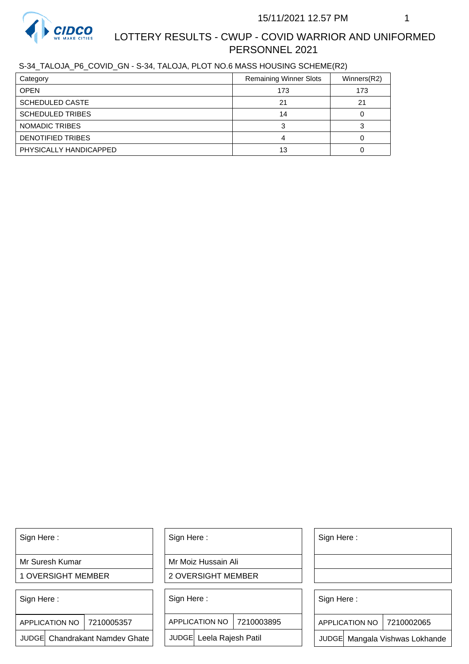

# LOTTERY RESULTS - CWUP - COVID WARRIOR AND UNIFORMED PERSONNEL 2021

S-34\_TALOJA\_P6\_COVID\_GN - S-34, TALOJA, PLOT NO.6 MASS HOUSING SCHEME(R2)

| Category                | <b>Remaining Winner Slots</b> | Winners(R2) |
|-------------------------|-------------------------------|-------------|
| <b>OPEN</b>             | 173                           | 173         |
| <b>SCHEDULED CASTE</b>  | 21                            | 21          |
| <b>SCHEDULED TRIBES</b> | 14                            |             |
| NOMADIC TRIBES          |                               |             |
| DENOTIFIED TRIBES       |                               |             |
| PHYSICALLY HANDICAPPED  | 13                            |             |

Sign Here :

Mr Suresh Kumar

1 OVERSIGHT MEMBER

Sign Here :

7210005357 APPLICATION NO

JUDGE Chandrakant Namdev Ghate

Sign Here :

Mr Moiz Hussain Ali

2 OVERSIGHT MEMBER

Sign Here :

APPLICATION NO 7210003895

JUDGE Leela Rajesh Patil

Sign Here :

Sign Here :

APPLICATION NO | 7210002065

Chandrakant Namdev Ghate  $|\quad|$  JUDGE Leela Rajesh Patil  $|\quad|$  JUDGE Mangala Vishwas Lokhande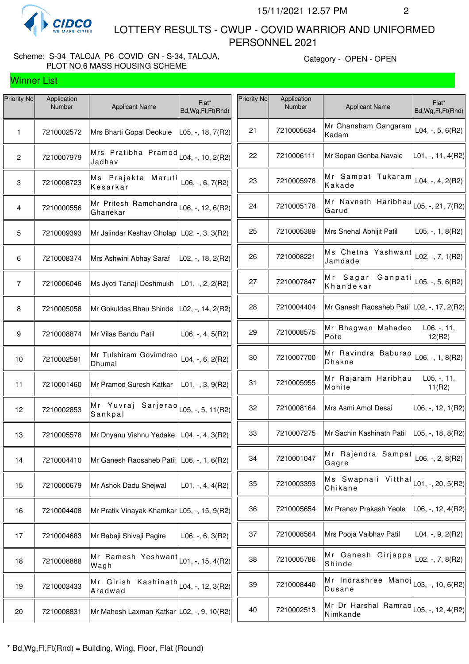

 LOTTERY RESULTS - CWUP - COVID WARRIOR AND UNIFORMED PERSONNEL 2021

#### Scheme: S-34\_TALOJA\_P6\_COVID\_GN - S-34, TALOJA, PLOT NO.6 MASS HOUSING SCHEME

| Priority No    | Application<br>Number | <b>Applicant Name</b>                        | Flat*<br>Bd, Wg, Fl, Ft (Rnd)                                    | Priority No | Application<br>Number | <b>Applicant Name</b>                                          | Flat*<br>Bd, Wg, Fl, Ft (Rnd) |
|----------------|-----------------------|----------------------------------------------|------------------------------------------------------------------|-------------|-----------------------|----------------------------------------------------------------|-------------------------------|
| 1              | 7210002572            | Mrs Bharti Gopal Deokule                     | L05, -, 18, 7(R2)                                                | 21          | 7210005634            | Mr Ghansham Gangaram<br>Kadam                                  | $L04, -, 5, 6(R2)$            |
| $\mathbf{2}$   | 7210007979            | Mrs Pratibha Pramod<br>Jadhav                | $\textsf{L04}, \textsf{-}, \textsf{10}, \textsf{2}(\textsf{R2})$ | 22          | 7210006111            | Mr Sopan Genba Navale                                          | L01, -, 11, 4(R2)             |
| $\mathbf 3$    | 7210008723            | Ms Prajakta Maruti<br>Kesarkar               | L06, $-$ , 6, 7(R2)                                              | 23          | 7210005978            | Mr Sampat Tukaram<br>Kakade                                    | $L04, -, 4, 2(R2)$            |
| 4              | 7210000556            | Mr Pritesh Ramchandra<br>Ghanekar            | $L06, -12, 6(R2)$                                                | 24          | 7210005178            | Mr Navnath Haribhau<br>Garud                                   | L05, -, 21, 7(R2)             |
| 5              | 7210009393            | Mr Jalindar Keshav Gholap   L02, -, 3, 3(R2) |                                                                  | 25          | 7210005389            | Mrs Snehal Abhijit Patil                                       | $L05, -1, 8(R2)$              |
| 6              | 7210008374            | Mrs Ashwini Abhay Saraf                      | L02, -, 18, 2(R2)                                                | 26          | 7210008221            | Ms Chetna Yashwant<br>Jamdade                                  | L02, -, 7, $1(R2)$            |
| $\overline{7}$ | 7210006046            | Ms Jyoti Tanaji Deshmukh                     | $L01, -2, 2(R2)$                                                 | 27          | 7210007847            | Mr Sagar<br>Ganpati<br>Khandekar                               | L05, $-$ , 5, 6(R2)           |
| 8              | 7210005058            | Mr Gokuldas Bhau Shinde                      | $L02, -, 14, 2(R2)$                                              | 28          | 7210004404            | Mr Ganesh Raosaheb Patil L02, -, 17, 2(R2)                     |                               |
| 9              | 7210008874            | Mr Vilas Bandu Patil                         | $L06, -, 4, 5(R2)$                                               | 29          | 7210008575            | Mr Bhagwan Mahadeo<br>Pote                                     | $L06, -, 11,$<br>12(R2)       |
| 10             | 7210002591            | Mr Tulshiram Govimdrao<br>Dhumal             | $L04, -, 6, 2(R2)$                                               | 30          | 7210007700            | Mr Ravindra Baburao<br><b>Dhakne</b>                           | $L06, -1, 8(R2)$              |
| 11             | 7210001460            | Mr Pramod Suresh Katkar                      | $L01, -3, 9(R2)$                                                 | 31          | 7210005955            | Mr Rajaram Haribhau<br>Mohite                                  | $L05, -, 11,$<br>11(R2)       |
| 12             | 7210002853            | Mr Yuvraj Sarjerao<br>Sankpal                | $\vert$ L05, -, 5, 11(R2) $\vert$                                | 32          | 7210008164            | Mrs Asmi Amol Desai                                            | L06, -, 12, 1(R2)             |
| 13             | 7210005578            | Mr Dnyanu Vishnu Yedake   L04, -, 4, 3(R2)   |                                                                  | 33          | 7210007275            | Mr Sachin Kashinath Patil                                      | $\vert$ L05, -, 18, 8(R2)     |
| 14             | 7210004410            | Mr Ganesh Raosaheb Patil   L06, -, 1, 6(R2)  |                                                                  | 34          | 7210001047            | Mr Rajendra Sampat<br>Gagre                                    | L06, $-$ , 2, 8(R2)           |
| 15             | 7210000679            | Mr Ashok Dadu Shejwal                        | $L01, -, 4, 4(R2)$                                               | 35          | 7210003393            | Ms Swapnali Vitthal $\vert$ L01, -, 20, 5(R2)<br>Chikane       |                               |
| 16             | 7210004408            | Mr Pratik Vinayak Khamkar L05, -, 15, 9(R2)  |                                                                  | 36          | 7210005654            | Mr Pranav Prakash Yeole                                        | L06, -, 12, 4(R2)             |
| 17             | 7210004683            | Mr Babaji Shivaji Pagire                     | $L06, -, 6, 3(R2)$                                               | 37          | 7210008564            | Mrs Pooja Vaibhav Patil                                        | $L04, -, 9, 2(R2)$            |
| 18             | 7210008888            | Mr Ramesh Yeshwant<br>Wagh                   | $L01, -15, 4(R2)$                                                | 38          | 7210005786            | Mr Ganesh Girjappa<br>Shinde                                   | L02, -, 7, 8(R2)              |
| 19             | 7210003433            | Mr Girish Kashinath<br>Aradwad               | $\vert$ L04, -, 12, 3(R2) $\vert$                                | 39          | 7210008440            | Mr Indrashree Manoj $\vert$ $\vert$ 03, -, 10, 6(R2)<br>Dusane |                               |
| 20             | 7210008831            | Mr Mahesh Laxman Katkar L02, -, 9, 10(R2)    |                                                                  | 40          | 7210002513            | Mr Dr Harshal Ramrao  <sub>L05, -,</sub> 12, 4(R2)<br>Nimkande |                               |
|                |                       |                                              |                                                                  |             |                       |                                                                |                               |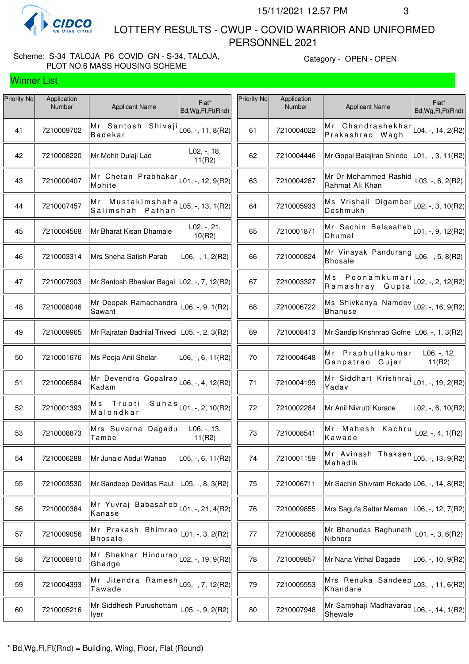

 LOTTERY RESULTS - CWUP - COVID WARRIOR AND UNIFORMED PERSONNEL 2021

#### Scheme: S-34\_TALOJA\_P6\_COVID\_GN - S-34, TALOJA, PLOT NO.6 MASS HOUSING SCHEME

| Priority No | Application<br><b>Number</b> | <b>Applicant Name</b>                                                         | Flat*<br>Bd, Wg, Fl, Ft (Rnd) | Priority No | Application<br>Number | <b>Applicant Name</b>                                                       | Flat*<br>Bd, Wg, Fl, Ft (Rnd) |
|-------------|------------------------------|-------------------------------------------------------------------------------|-------------------------------|-------------|-----------------------|-----------------------------------------------------------------------------|-------------------------------|
| 41          | 7210009702                   | Mr Santosh Shivaji $\vert$ L <sub>06, -</sub> , 11, 8(R2)<br><b>Badekar</b>   |                               | 61          | 7210004022            | Mr Chandrashekhar $\lfloor 04, \cdot, 14, 2(R2) \rfloor$<br>Prakashrao Wagh |                               |
| 42          | 7210008220                   | Mr Mohit Dulaji Lad                                                           | $L02, -18,$<br>11(R2)         | 62          | 7210004446            | Mr Gopal Balajirao Shinde                                                   | L01, -, 3, 11(R2)             |
| 43          | 7210000407                   | Mr Chetan Prabhakar<br>Mohite                                                 | L01, -, 12, 9(R2)             | 63          | 7210004287            | Mr Dr Mohammed Rashid<br>Rahmat Ali Khan                                    | $L03, -, 6, 2(R2)$            |
| 44          | 7210007457                   | Mr Mustakimshaha<br>Salimshah Pathan                                          | L05, -, 13, 1(R2)             | 64          | 7210005933            | Ms Vrishali Digamber $\vert$ L02, -, 3, 10(R2)<br>Deshmukh                  |                               |
| 45          | 7210004568                   | Mr Bharat Kisan Dhamale                                                       | $L02, -, 21,$<br>10(R2)       | 65          | 7210001871            | Mr Sachin Balasaheb $\vert$ $\vert$ 01, -, 9, 12(R2)<br>Dhumal              |                               |
| 46          | 7210003314                   | Mrs Sneha Satish Parab                                                        | $L06, -1, 2(R2)$              | 66          | 7210000824            | Mr Vinayak Pandurang<br><b>Bhosale</b>                                      | $L06, -, 5, 8(R2)$            |
| 47          | 7210007903                   | Mr Santosh Bhaskar Bagal L02, -, 7, 12(R2)                                    |                               | 67          | 7210003327            | Ms Poonamkumari<br>Ramashray Gupta                                          | $\textsf{L}02, -, 2, 12(R2)$  |
| 48          | 7210008046                   | Mr Deepak Ramachandra<br>Sawant                                               | L06, $-$ , 9, 1(R2)           | 68          | 7210006722            | Ms Shivkanya Namdev L02, -, 16, 9(R2)<br><b>Bhanuse</b>                     |                               |
| 49          | 7210009965                   | Mr Rajratan Badrilal Trivedi   L05, -, 2, 3(R2)                               |                               | 69          | 7210008413            | Mr Sandip Krishnrao Gofne   L06, -, 1, 3(R2)                                |                               |
| 50          | 7210001676                   | Ms Pooja Anil Shelar                                                          | $\vert$ L06, -, 6, 11(R2)     | 70          | 7210004648            | Mr Praphullakumar<br>Ganpatrao Gujar                                        | $L06, -12,$<br>11(R2)         |
| 51          | 7210006584                   | $\overline{M}$ r Devendra Gopalrao $\vert$ L06, -, 4, 12(R2)<br>Kadam         |                               | 71          | 7210004199            | Mr Siddhart Krishnraj $L_{01,}$ -, 19, 2(R2)<br>Yadav                       |                               |
| 52          | 7210001393                   | Trupti<br>Мs<br>Suhas<br>Malondkar                                            | $\vert$ L01, -, 2, 10(R2)     | 72          | 7210002284            | Mr Anil Nivrutti Kurane                                                     | L02, -, 6, 10(R2)             |
| 53          | 7210008873                   | Mrs Suvarna Dagadu<br>Tambe                                                   | L06, -, 13,<br>11(R2)         | 73          | 7210008541            | Mr Mahesh Kachru<br>Kawade                                                  | L02, -, 4, $1(R2)$            |
| 54          | 7210006288                   | Mr Junaid Abdul Wahab                                                         | $\vert$ L05, -, 6, 11(R2)     | 74          | 7210001159            | Mr Avinash Thaksen $\vert_{\text{L05, -, 13, 9(R2)}}$<br>Mahadik            |                               |
| 55          | 7210003530                   | Mr Sandeep Devidas Raut                                                       | L05, $-$ , 8, 3(R2)           | 75          | 7210006711            | Mr Sachin Shivram Rokade L06, -, 14, 8(R2)                                  |                               |
| 56          | 7210000384                   | Mr Yuvraj Babasaheb<br>Kanase                                                 | $L$ 01, -, 21, 4(R2)          | 76          | 7210009855            | Mrs Sagufa Sattar Meman L06, -, 12, 7(R2)                                   |                               |
| 57          | 7210009056                   | Mr Prakash Bhimrao<br><b>Bhosale</b>                                          | $L01, -, 3, 2(R2)$            | 77          | 7210008856            | Mr Bhanudas Raghunath<br>Nibhore                                            | $L01, -, 3, 6(R2)$            |
| 58          | 7210008910                   | Mr Shekhar Hindurao<br>Ghadge                                                 | $\vert$ L02, -, 19, 9(R2)     | 78          | 7210009857            | Mr Nana Vitthal Dagade                                                      | L06, -, 10, 9(R2)             |
| 59          | 7210004393                   | Mr Jitendra Ramesh $\left  \text{L05}, \text{-}, 7, 12(R2) \right $<br>Tawade |                               | 79          | 7210005553            | Mrs Renuka Sandeep $\vert_{\text{L03, -, 11, 6(R2)}}$<br>Khandare           |                               |
| 60          | 7210005216                   | Mr Siddhesh Purushottam<br>lyer                                               | L05, $-$ , 9, 2(R2)           | 80          | 7210007948            | Mr Sambhaji Madhavarao<br>Shewale                                           | L06, -, 14, 1(R2)             |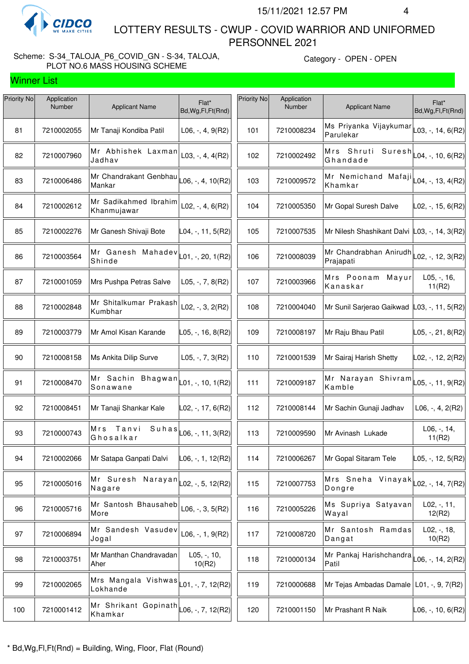

 LOTTERY RESULTS - CWUP - COVID WARRIOR AND UNIFORMED PERSONNEL 2021

#### Scheme: S-34\_TALOJA\_P6\_COVID\_GN - S-34, TALOJA, PLOT NO.6 MASS HOUSING SCHEME

| Priority No | Application<br>Number | <b>Applicant Name</b>                                 | Flat*<br>Bd, Wg, Fl, Ft (Rnd)          | Priority No | Application<br><b>Number</b> | <b>Applicant Name</b>                                         | Flat*<br>Bd, Wg, Fl, Ft (Rnd) |
|-------------|-----------------------|-------------------------------------------------------|----------------------------------------|-------------|------------------------------|---------------------------------------------------------------|-------------------------------|
| 81          | 7210002055            | Mr Tanaji Kondiba Patil                               | $L06, -, 4, 9(R2)$                     | 101         | 7210008234                   | Ms Priyanka Vijaykumar<br>Parulekar                           | $L$ 03, -, 14, 6(R2)          |
| 82          | 7210007960            | Mr Abhishek Laxman<br>Jadhav                          | L03, $-$ , 4, 4(R2)                    | 102         | 7210002492                   | Mrs Shruti Suresh<br>Ghandade                                 | L04, -, 10, 6(R2)             |
| 83          | 7210006486            | Mr Chandrakant Genbhau<br>Mankar                      | $\textsf{L06}, -, 4, 10 \textsf{(R2)}$ | 103         | 7210009572                   | Mr Nemichand Mafaji $\vert$ L04, -, 13, 4(R2)<br>Khamkar      |                               |
| 84          | 7210002612            | Mr Sadikahmed Ibrahim<br>Khanmujawar                  | $L02, -, 4, 6(R2)$                     | 104         | 7210005350                   | Mr Gopal Suresh Dalve                                         | L02, -, 15, 6(R2)             |
| 85          | 7210002276            | Mr Ganesh Shivaji Bote                                | L04, -, 11, 5(R2)                      | 105         | 7210007535                   | Mr Nilesh Shashikant Dalvi L03, -, 14, 3(R2)                  |                               |
| 86          | 7210003564            | Mr Ganesh Mahadev<br>Shinde                           | $ L01, -$ , 20, 1(R2)                  | 106         | 7210008039                   | Mr Chandrabhan Anirudh $\vert$ L02, -, 12, 3(R2)<br>Prajapati |                               |
| 87          | 7210001059            | Mrs Pushpa Petras Salve                               | $L05, -7, 8(R2)$                       | 107         | 7210003966                   | Mrs Poonam Mayur<br>Kanaskar                                  | $L05, -, 16,$<br>11(R2)       |
| 88          | 7210002848            | Mr Shitalkumar Prakash<br>Kumbhar                     | $L02, -$ , 3, 2(R2)                    | 108         | 7210004040                   | Mr Sunil Sarjerao Gaikwad                                     | $ L03, -, 11, 5(R2) $         |
| 89          | 7210003779            | Mr Amol Kisan Karande                                 | L05, -, 16, 8(R2)                      | 109         | 7210008197                   | Mr Raju Bhau Patil                                            | L05, -, 21, 8(R2)             |
| 90          | 7210008158            | Ms Ankita Dilip Surve                                 | $L05, -7, 3(R2)$                       | 110         | 7210001539                   | Mr Sairaj Harish Shetty                                       | L02, -, 12, 2(R2)             |
| 91          | 7210008470            | Mr Sachin Bhagwan<br>Sonawane                         | $\vert$ L01, -, 10, 1(R2) $\vert$      | 111         | 7210009187                   | Mr Narayan Shivram<br>Kamble                                  | L05, -, 11, 9(R2)             |
| 92          | 7210008451            | Mr Tanaji Shankar Kale                                | L02, -, 17, 6(R2)                      | 112         | 7210008144                   | Mr Sachin Gunaji Jadhav                                       | $L06, -, 4, 2(R2)$            |
| 93          | 7210000743            | Suhas<br>Mrs<br>Tanvi<br>Ghosalkar                    | _06, -, 11, 3(R2)                      | 113         | 7210009590                   | Mr Avinash Lukade                                             | $L06, -, 14,$<br>11(R2)       |
| 94          | 7210002066            | Mr Satapa Ganpati Dalvi                               | L06, -, 1, 12(R2)                      | 114         | 7210006267                   | Mr Gopal Sitaram Tele                                         | L05, -, 12, 5(R2)             |
| 95          | 7210005016            | Mr Suresh Narayan $\vert$ LO2, -, 5, 12(R2)<br>Nagare |                                        | 115         | 7210007753                   | Mrs Sneha Vinayak <br> L02,-,14,7(R2)<br>Dongre               |                               |
| 96          | 7210005716            | Mr Santosh Bhausaheb<br>More                          | $L06, -3, 5(R2)$                       | 116         | 7210005226                   | Ms Supriya Satyavan<br>Wayal                                  | $L02, -11,$<br>12(R2)         |
| 97          | 7210006894            | Mr Sandesh Vasudev<br>Jogal                           | $L06, -1, 9(R2)$                       | 117         | 7210008720                   | Mr Santosh Ramdas<br>Dangat                                   | $L02, -18,$<br>10(R2)         |
| 98          | 7210003751            | Mr Manthan Chandravadan<br>Aher                       | L05, -, 10,<br>10(R2)                  | 118         | 7210000134                   | Mr Pankaj Harishchandra L06, -, 14, 2(R2)<br>Patil            |                               |
| 99          | 7210002065            | Mrs Mangala Vishwas<br>Lokhande                       | _01, -, 7, 12(R2)                      | 119         | 7210000688                   | Mr Tejas Ambadas Damale   L01, -, 9, 7(R2)                    |                               |
| 100         | 7210001412            | Mr Shrikant Gopinath<br>Khamkar                       | L06, -, 7, 12(R2)                      | 120         | 7210001150                   | Mr Prashant R Naik                                            | $LO6, -10, 6(R2)$             |
|             |                       |                                                       |                                        |             |                              |                                                               |                               |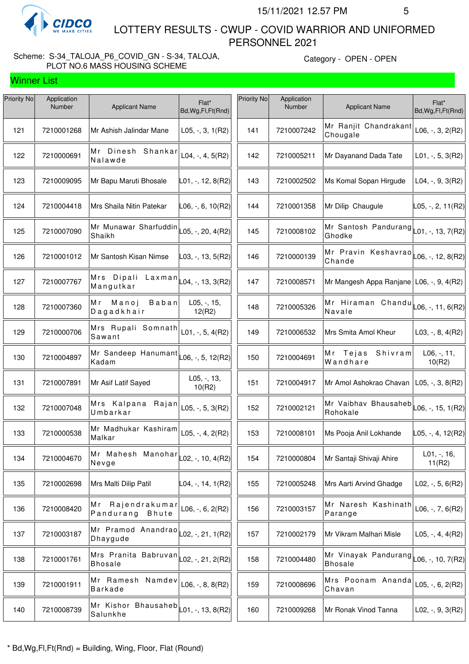

 LOTTERY RESULTS - CWUP - COVID WARRIOR AND UNIFORMED PERSONNEL 2021

#### Scheme: S-34\_TALOJA\_P6\_COVID\_GN - S-34, TALOJA, PLOT NO.6 MASS HOUSING SCHEME

| Priority No | Application<br>Number | <b>Applicant Name</b>                                | Flat*<br>Bd, Wg, Fl, Ft (Rnd) | Priority No | Application<br>Number | <b>Applicant Name</b>                                                     | Flat*<br>Bd, Wg, Fl, Ft (Rnd) |
|-------------|-----------------------|------------------------------------------------------|-------------------------------|-------------|-----------------------|---------------------------------------------------------------------------|-------------------------------|
| 121         | 7210001268            | Mr Ashish Jalindar Mane                              | $L05, -3, 1(R2)$              | 141         | 7210007242            | Mr Ranjit Chandrakant<br>Chougale                                         | $L06, -, 3, 2(R2)$            |
| 122         | 7210000691            | Mr Dinesh Shankar<br>Nalawde                         | $L04, -, 4, 5(R2)$            | 142         | 7210005211            | Mr Dayanand Dada Tate                                                     | $L01, -, 5, 3(R2)$            |
| 123         | 7210009095            | Mr Bapu Maruti Bhosale                               | L01, -, 12, 8(R2)             | 143         | 7210002502            | Ms Komal Sopan Hirgude                                                    | $L04, -, 9, 3(R2)$            |
| 124         | 7210004418            | Mrs Shaila Nitin Patekar                             | L06, -, 6, 10(R2)             | 144         | 7210001358            | Mr Dilip Chaugule                                                         | $\vert$ L05, -, 2, 11(R2)     |
| 125         | 7210007090            | Mr Munawar Sharfuddin<br>Shaikh                      | $L05, -20, 4(R2)$             | 145         | 7210008102            | Mr Santosh Pandurang<br>Ghodke                                            | $L01, -113, 7(R2)$            |
| 126         | 7210001012            | Mr Santosh Kisan Nimse                               | L03, -, 13, 5(R2)             | 146         | 7210000139            | Mr Pravin Keshavrao $\vert$ L06, -, 12, 8(R2)<br>Chande                   |                               |
| 127         | 7210007767            | Mrs Dipali<br>Laxman<br>Mangutkar                    | L04, -, 13, 3(R2)             | 147         | 7210008571            | Mr Mangesh Appa Ranjane   L06, -, 9, 4(R2)                                |                               |
| 128         | 7210007360            | Manoj<br>Baban<br>Mr<br>Dagadkhair                   | L05, -, 15,<br>12(R2)         | 148         | 7210005326            | Mr Hiraman Chandu<br>Navale                                               | L06, -, 11, 6(R2)             |
| 129         | 7210000706            | Mrs Rupali Somnath<br>Sawant                         | L01, $-$ , 5, 4(R2)           | 149         | 7210006532            | Mrs Smita Amol Kheur                                                      | L03, $-$ , 8, 4(R2)           |
| 130         | 7210004897            | Mr Sandeep Hanumant<br>Kadam                         | L06, -, 5, 12(R2)             | 150         | 7210004691            | Mr Tejas<br>Shivram<br>Wandhare                                           | $L06, -, 11,$<br>10(R2)       |
| 131         | 7210007891            | Mr Asif Latif Sayed                                  | $L05, -13,$<br>10(R2)         | 151         | 7210004917            | Mr Amol Ashokrao Chavan                                                   | L05, -, 3, 8(R2)              |
| 132         | 7210007048            | Mrs Kalpana Rajan<br>Umbarkar                        | L05, $-$ , 5, 3(R2)           | 152         | 7210002121            | Mr Vaibhav Bhausaheb $\vert$ L06, -, 15, 1(R2)<br>Rohokale                |                               |
| 133         | 7210000538            | Mr Madhukar Kashiram<br>Malkar                       | $L05, -, 4, 2(R2)$            | 153         | 7210008101            | Ms Pooja Anil Lokhande                                                    | L05, -, 4, 12(R2)             |
| 134         | 7210004670            | Mr Mahesh Manohar $\vert$ LO2, -, 10, 4(R2)<br>Nevge |                               | 154         | 7210000804            | Mr Santaji Shivaji Ahire                                                  | $L01, -16,$<br>11(R2)         |
| 135         | 7210002698            | Mrs Malti Dilip Patil                                | L04, -, 14, 1(R2)             | 155         | 7210005248            | Mrs Aarti Arvind Ghadge                                                   | $L02, -, 5, 6(R2)$            |
| 136         | 7210008420            | Mr Rajendrakumar<br>Pandurang<br>Bhute               | L06, $-$ , 6, 2(R2)           | 156         | 7210003157            | Mr Naresh Kashinath<br>Parange                                            | L06, $-$ , 7, 6(R2)           |
| 137         | 7210003187            | Mr Pramod Anandrao<br>Dhaygude                       | $L02, -21, 1(R2)$             | 157         | 7210002179            | Mr Vikram Malhari Misle                                                   | L05, $-$ , 4, 4(R2)           |
| 138         | 7210001761            | Mrs Pranita Babruvan<br><b>Bhosale</b>               | $\vert$ L02, -, 21, 2(R2)     | 158         | 7210004480            | Mr Vinayak Pandurang $\vert_{\text{L06, -, 10, 7(R2)}}$<br><b>Bhosale</b> |                               |
| 139         | 7210001911            | Mr Ramesh Namdev<br><b>Barkade</b>                   | $L06, -, 8, 8(R2)$            | 159         | 7210008696            | Mrs Poonam Ananda<br>Chavan                                               | L05, $-$ , 6, 2(R2)           |
| 140         | 7210008739            | Mr Kishor Bhausaheb<br>Salunkhe                      | $ $ L01, -, 13, 8(R2)         | 160         | 7210009268            | Mr Ronak Vinod Tanna                                                      | L02, $-$ , $9$ , $3(R2)$      |
|             |                       |                                                      |                               |             |                       |                                                                           |                               |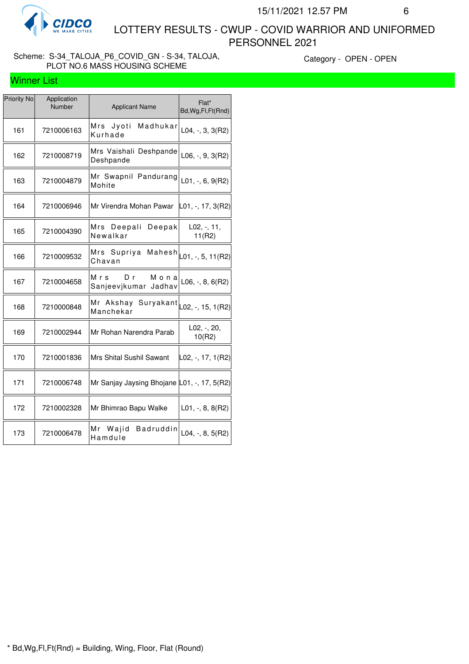

 LOTTERY RESULTS - CWUP - COVID WARRIOR AND UNIFORMED PERSONNEL 2021

#### Scheme: S-34\_TALOJA\_P6\_COVID\_GN - S-34, TALOJA, PLOT NO.6 MASS HOUSING SCHEME

| <b>Priority No</b> | Application<br>Number | <b>Applicant Name</b>                       | Flat*<br>Bd, Wg, Fl, Ft (Rnd) |
|--------------------|-----------------------|---------------------------------------------|-------------------------------|
| 161                | 7210006163            | Mrs Jyoti<br>Madhukar<br>Kurhade            | $L04, -3, 3(R2)$              |
| 162                | 7210008719            | Mrs Vaishali Deshpande<br>Deshpande         | $L06, -, 9, 3(R2)$            |
| 163                | 7210004879            | Mr Swapnil Pandurang<br>Mohite              | $L01, -, 6, 9(R2)$            |
| 164                | 7210006946            | Mr Virendra Mohan Pawar                     | $ L01, -, 17, 3(R2) $         |
| 165                | 7210004390            | Mrs Deepali<br>Deepak<br>Newalkar           | L02, -, 11,<br>11(R2)         |
| 166                | 7210009532            | Mrs Supriya Mahesh<br>Chavan                | L01, -, 5, 11(R2)             |
| 167                | 7210004658            | Mrs<br>Mona<br>Dr<br>Sanjeevjkumar Jadhav   | $L06, -, 8, 6(R2)$            |
| 168                | 7210000848            | Mr Akshay Suryakant<br>Manchekar            | L02, -, 15, 1(R2)             |
| 169                | 7210002944            | Mr Rohan Narendra Parab                     | L02, -, 20,<br>10(R2)         |
| 170                | 7210001836            | Mrs Shital Sushil Sawant                    | L02, -, 17, 1(R2)             |
| 171                | 7210006748            | Mr Sanjay Jaysing Bhojane L01, -, 17, 5(R2) |                               |
| 172                | 7210002328            | Mr Bhimrao Bapu Walke                       | $L01, -, 8, 8(R2)$            |
| 173                | 7210006478            | Wajid<br>Мr<br><b>Badruddin</b><br>Hamdule  | L04, $-$ , 8, 5(R2)           |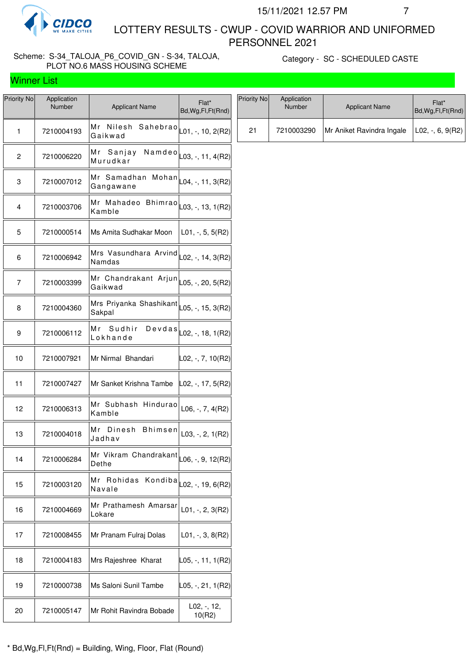

 LOTTERY RESULTS - CWUP - COVID WARRIOR AND UNIFORMED PERSONNEL 2021

## Scheme: S-34\_TALOJA\_P6\_COVID\_GN - S-34, TALOJA, PLOT NO.6 MASS HOUSING SCHEME

Category - SC - SCHEDULED CASTE

| Priority No | Application<br>Number | <b>Applicant Name</b>                                                                                       | Flat*<br>Bd, Wg, Fl, Ft (Rnd)        |
|-------------|-----------------------|-------------------------------------------------------------------------------------------------------------|--------------------------------------|
| 1           | 7210004193            | Mr<br>Nilesh<br>Gaikwad                                                                                     | Sahebrao $\vert$ L01, -, 10, 2(R2)   |
| 2           | 7210006220            | Mr Sanjay<br>Murudkar                                                                                       | $N$ a m d e o $ $ L03, -, 11, 4(R2)  |
| 3           | 7210007012            | Mr Samadhan<br>Gangawane                                                                                    | $\text{Mohan}$ L04, -, 11, 3(R2)     |
| 4           | 7210003706            | -<br>Mr Mahadeo Bhimrao $\vert_{\text{L03, -, 13, 1(R2)}}$<br>Kamble                                        |                                      |
| 5           | 7210000514            | Ms Amita Sudhakar Moon                                                                                      | $L01, -, 5, 5(R2)$                   |
| 6           | 7210006942            | $\overline{\mathsf{Mrs}}$ Vasundhara $\overline{\mathsf{Arvind}} _{\mathsf{L02},\,}$ -, 14, 3(R2)<br>Namdas |                                      |
| 7           | 7210003399            | Mr Chandrakant Arjun $\vert$ $\vert$ 05, -, 20, 5(R2)<br>Gaikwad                                            |                                      |
| 8           | 7210004360            | Mrs Priyanka Shashikant $\vert_{\text{L05, -, 15, 3(R2)}}$<br>Sakpal                                        |                                      |
| 9           | 7210006112            | Mr Sudhir<br>Lokhande                                                                                       | $D e v d a s   _{L02, -, 18, 1(R2)}$ |
| 10          | 7210007921            | Mr Nirmal Bhandari                                                                                          | L02, -, 7, 10(R2)                    |
| 11          | 7210007427            | Mr Sanket Krishna Tambe   L02, -, 17, 5(R2)                                                                 |                                      |
| 12          | 7210006313            | Mr Subhash Hindurao<br>Kamble                                                                               | $L06, -7, 4(R2)$                     |
| 13          | 7210004018            | Mr<br>Dinesh<br><b>Bhimsen</b><br>Jadhav                                                                    | $L03, -2, 1(R2)$                     |
| 14          | 7210006284            | Mr Vikram Chandrakant $\vert_{\sf L06,\,\text{-}\,,\,\text{9},\,\text{12(R2)}}\vert$<br>Dethe               |                                      |
| 15          | 7210003120            | Rohidas<br>Мr<br>Navale                                                                                     | Kondiba $\vert$ L02, -, 19, 6(R2)    |
| 16          | 7210004669            | Mr Prathamesh Amarsar<br>Lokare                                                                             | $L01, -2, 3(R2)$                     |
| 17          | 7210008455            | Mr Pranam Fulraj Dolas                                                                                      | $L01, -3, 8(R2)$                     |
| 18          | 7210004183            | Mrs Rajeshree Kharat                                                                                        | ∣L05, -, 11, 1(R2)∣                  |
| 19          | 7210000738            | Ms Saloni Sunil Tambe                                                                                       | ∣L05, -, 21, 1(R2)∣                  |
| 20          | 7210005147            | Mr Rohit Ravindra Bobade                                                                                    | $L02, -12,$<br>10(R2)                |

| Priority No | Application<br><b>Number</b> | <b>Applicant Name</b>     | Flat*<br>Bd, Wg, Fl, Ft (Rnd) |
|-------------|------------------------------|---------------------------|-------------------------------|
| 21          | 7210003290                   | Mr Aniket Ravindra Ingale | $ $ L02, -, 6, 9(R2)          |